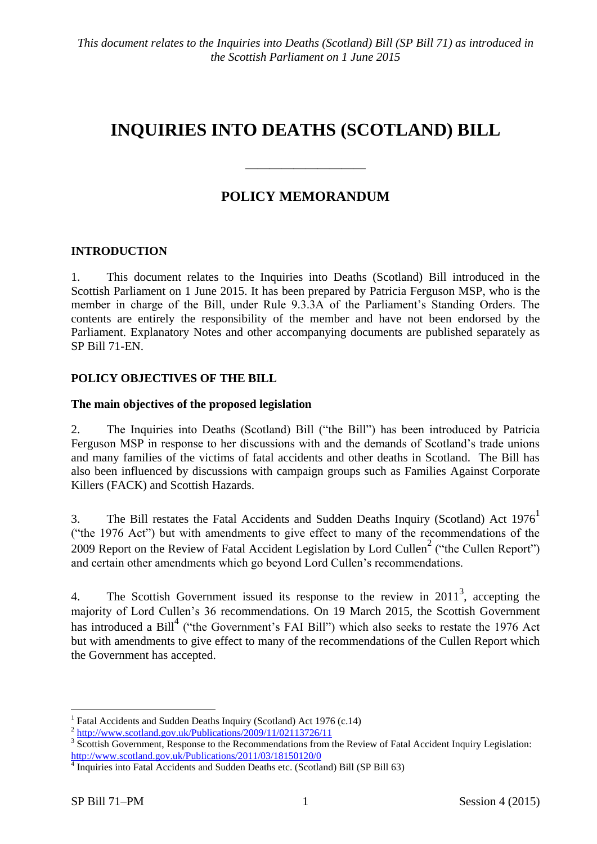# **INQUIRIES INTO DEATHS (SCOTLAND) BILL**

# **POLICY MEMORANDUM**

——————————

# **INTRODUCTION**

1. This document relates to the Inquiries into Deaths (Scotland) Bill introduced in the Scottish Parliament on 1 June 2015. It has been prepared by Patricia Ferguson MSP, who is the member in charge of the Bill, under Rule 9.3.3A of the Parliament's Standing Orders. The contents are entirely the responsibility of the member and have not been endorsed by the Parliament. Explanatory Notes and other accompanying documents are published separately as SP Bill 71-EN.

### **POLICY OBJECTIVES OF THE BILL**

#### **The main objectives of the proposed legislation**

2. The Inquiries into Deaths (Scotland) Bill ("the Bill") has been introduced by Patricia Ferguson MSP in response to her discussions with and the demands of Scotland's trade unions and many families of the victims of fatal accidents and other deaths in Scotland. The Bill has also been influenced by discussions with campaign groups such as Families Against Corporate Killers (FACK) and Scottish Hazards.

3. The Bill restates the Fatal Accidents and Sudden Deaths Inquiry (Scotland) Act 1976<sup>1</sup> ("the 1976 Act") but with amendments to give effect to many of the recommendations of the 2009 Report on the Review of Fatal Accident Legislation by Lord Cullen<sup>2</sup> ("the Cullen Report") and certain other amendments which go beyond Lord Cullen's recommendations.

4. The Scottish Government issued its response to the review in  $2011<sup>3</sup>$ , accepting the majority of Lord Cullen's 36 recommendations. On 19 March 2015, the Scottish Government has introduced a Bill<sup>4</sup> ("the Government's FAI Bill") which also seeks to restate the 1976 Act but with amendments to give effect to many of the recommendations of the Cullen Report which the Government has accepted.

1

<sup>&</sup>lt;sup>1</sup> Fatal Accidents and Sudden Deaths Inquiry (Scotland) Act 1976 (c.14)

<sup>&</sup>lt;sup>2</sup> <http://www.scotland.gov.uk/Publications/2009/11/02113726/11>

<sup>&</sup>lt;sup>3</sup> Scottish Government, Response to the Recommendations from the Review of Fatal Accident Inquiry Legislation: <http://www.scotland.gov.uk/Publications/2011/03/18150120/0>

<sup>&</sup>lt;sup>4</sup> Inquiries into Fatal Accidents and Sudden Deaths etc. (Scotland) Bill (SP Bill 63)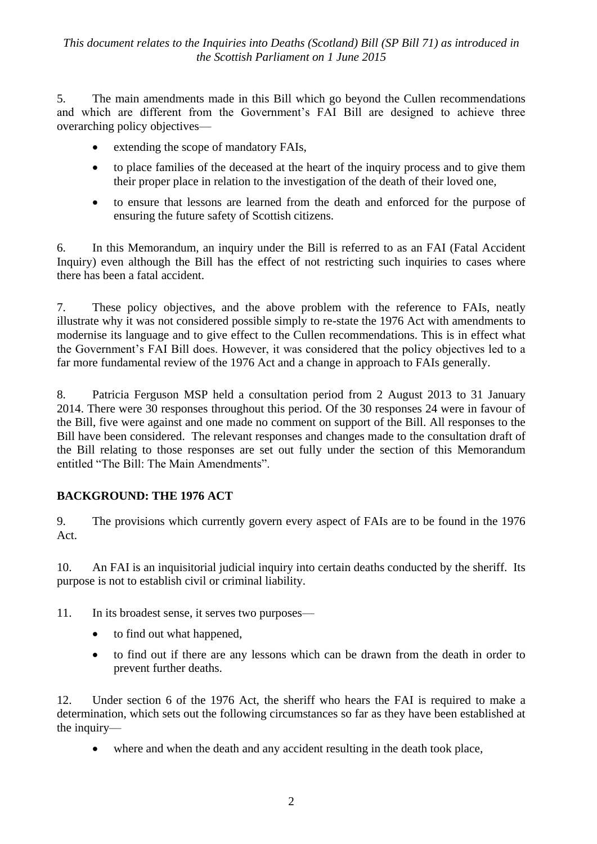5. The main amendments made in this Bill which go beyond the Cullen recommendations and which are different from the Government's FAI Bill are designed to achieve three overarching policy objectives—

- extending the scope of mandatory FAIs,
- to place families of the deceased at the heart of the inquiry process and to give them their proper place in relation to the investigation of the death of their loved one,
- to ensure that lessons are learned from the death and enforced for the purpose of ensuring the future safety of Scottish citizens.

6. In this Memorandum, an inquiry under the Bill is referred to as an FAI (Fatal Accident Inquiry) even although the Bill has the effect of not restricting such inquiries to cases where there has been a fatal accident.

7. These policy objectives, and the above problem with the reference to FAIs, neatly illustrate why it was not considered possible simply to re-state the 1976 Act with amendments to modernise its language and to give effect to the Cullen recommendations. This is in effect what the Government's FAI Bill does. However, it was considered that the policy objectives led to a far more fundamental review of the 1976 Act and a change in approach to FAIs generally.

8. Patricia Ferguson MSP held a consultation period from 2 August 2013 to 31 January 2014. There were 30 responses throughout this period. Of the 30 responses 24 were in favour of the Bill, five were against and one made no comment on support of the Bill. All responses to the Bill have been considered. The relevant responses and changes made to the consultation draft of the Bill relating to those responses are set out fully under the section of this Memorandum entitled "The Bill: The Main Amendments".

# **BACKGROUND: THE 1976 ACT**

9. The provisions which currently govern every aspect of FAIs are to be found in the 1976 Act.

10. An FAI is an inquisitorial judicial inquiry into certain deaths conducted by the sheriff. Its purpose is not to establish civil or criminal liability.

11. In its broadest sense, it serves two purposes—

- to find out what happened,
- to find out if there are any lessons which can be drawn from the death in order to prevent further deaths.

12. Under section 6 of the 1976 Act, the sheriff who hears the FAI is required to make a determination, which sets out the following circumstances so far as they have been established at the inquiry—

where and when the death and any accident resulting in the death took place,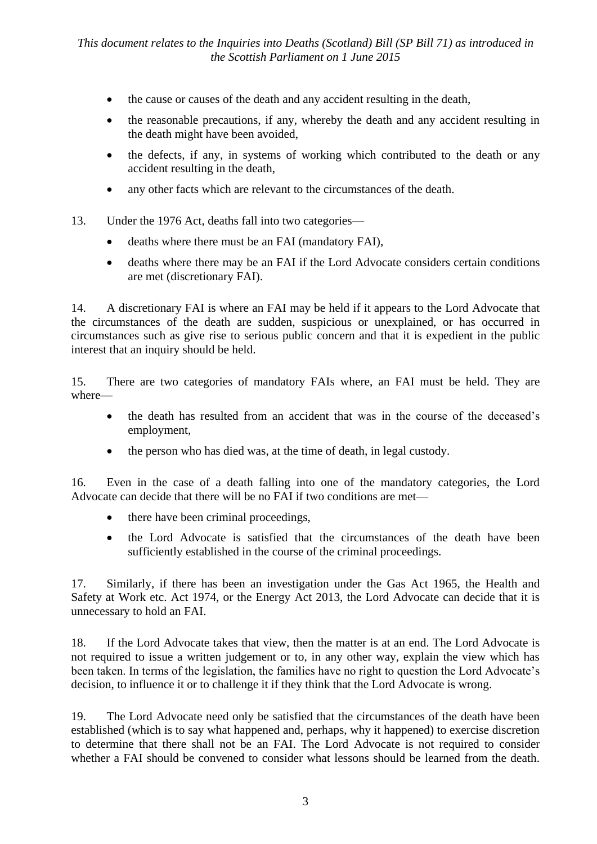- the cause or causes of the death and any accident resulting in the death,
- the reasonable precautions, if any, whereby the death and any accident resulting in the death might have been avoided,
- the defects, if any, in systems of working which contributed to the death or any accident resulting in the death,
- any other facts which are relevant to the circumstances of the death.
- 13. Under the 1976 Act, deaths fall into two categories
	- deaths where there must be an FAI (mandatory FAI),
	- deaths where there may be an FAI if the Lord Advocate considers certain conditions are met (discretionary FAI).

14. A discretionary FAI is where an FAI may be held if it appears to the Lord Advocate that the circumstances of the death are sudden, suspicious or unexplained, or has occurred in circumstances such as give rise to serious public concern and that it is expedient in the public interest that an inquiry should be held.

15. There are two categories of mandatory FAIs where, an FAI must be held. They are where—

- the death has resulted from an accident that was in the course of the deceased's employment,
- the person who has died was, at the time of death, in legal custody.

16. Even in the case of a death falling into one of the mandatory categories, the Lord Advocate can decide that there will be no FAI if two conditions are met—

- there have been criminal proceedings,
- the Lord Advocate is satisfied that the circumstances of the death have been sufficiently established in the course of the criminal proceedings.

17. Similarly, if there has been an investigation under the Gas Act 1965, the Health and Safety at Work etc. Act 1974, or the Energy Act 2013, the Lord Advocate can decide that it is unnecessary to hold an FAI.

18. If the Lord Advocate takes that view, then the matter is at an end. The Lord Advocate is not required to issue a written judgement or to, in any other way, explain the view which has been taken. In terms of the legislation, the families have no right to question the Lord Advocate's decision, to influence it or to challenge it if they think that the Lord Advocate is wrong.

19. The Lord Advocate need only be satisfied that the circumstances of the death have been established (which is to say what happened and, perhaps, why it happened) to exercise discretion to determine that there shall not be an FAI. The Lord Advocate is not required to consider whether a FAI should be convened to consider what lessons should be learned from the death.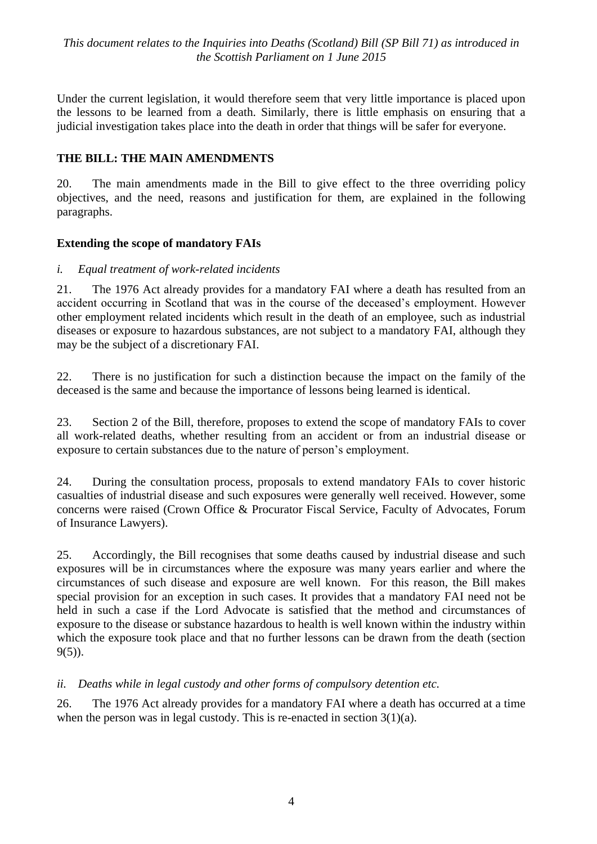Under the current legislation, it would therefore seem that very little importance is placed upon the lessons to be learned from a death. Similarly, there is little emphasis on ensuring that a judicial investigation takes place into the death in order that things will be safer for everyone.

## **THE BILL: THE MAIN AMENDMENTS**

20. The main amendments made in the Bill to give effect to the three overriding policy objectives, and the need, reasons and justification for them, are explained in the following paragraphs.

#### **Extending the scope of mandatory FAIs**

#### *i. Equal treatment of work-related incidents*

21. The 1976 Act already provides for a mandatory FAI where a death has resulted from an accident occurring in Scotland that was in the course of the deceased's employment. However other employment related incidents which result in the death of an employee, such as industrial diseases or exposure to hazardous substances, are not subject to a mandatory FAI, although they may be the subject of a discretionary FAI.

22. There is no justification for such a distinction because the impact on the family of the deceased is the same and because the importance of lessons being learned is identical.

23. Section 2 of the Bill, therefore, proposes to extend the scope of mandatory FAIs to cover all work-related deaths, whether resulting from an accident or from an industrial disease or exposure to certain substances due to the nature of person's employment.

24. During the consultation process, proposals to extend mandatory FAIs to cover historic casualties of industrial disease and such exposures were generally well received. However, some concerns were raised (Crown Office & Procurator Fiscal Service, Faculty of Advocates, Forum of Insurance Lawyers).

25. Accordingly, the Bill recognises that some deaths caused by industrial disease and such exposures will be in circumstances where the exposure was many years earlier and where the circumstances of such disease and exposure are well known. For this reason, the Bill makes special provision for an exception in such cases. It provides that a mandatory FAI need not be held in such a case if the Lord Advocate is satisfied that the method and circumstances of exposure to the disease or substance hazardous to health is well known within the industry within which the exposure took place and that no further lessons can be drawn from the death (section 9(5)).

#### *ii. Deaths while in legal custody and other forms of compulsory detention etc.*

26. The 1976 Act already provides for a mandatory FAI where a death has occurred at a time when the person was in legal custody. This is re-enacted in section  $3(1)(a)$ .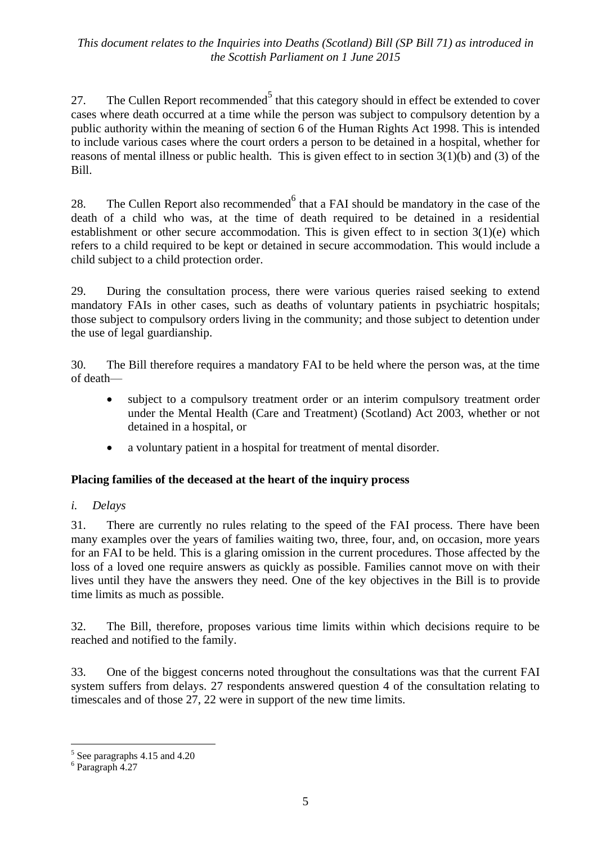27. The Cullen Report recommended<sup>5</sup> that this category should in effect be extended to cover cases where death occurred at a time while the person was subject to compulsory detention by a public authority within the meaning of section 6 of the Human Rights Act 1998. This is intended to include various cases where the court orders a person to be detained in a hospital, whether for reasons of mental illness or public health. This is given effect to in section 3(1)(b) and (3) of the Bill.

28. The Cullen Report also recommended  $6$  that a FAI should be mandatory in the case of the death of a child who was, at the time of death required to be detained in a residential establishment or other secure accommodation. This is given effect to in section 3(1)(e) which refers to a child required to be kept or detained in secure accommodation. This would include a child subject to a child protection order.

29. During the consultation process, there were various queries raised seeking to extend mandatory FAIs in other cases, such as deaths of voluntary patients in psychiatric hospitals; those subject to compulsory orders living in the community; and those subject to detention under the use of legal guardianship.

30. The Bill therefore requires a mandatory FAI to be held where the person was, at the time of death—

- subject to a compulsory treatment order or an interim compulsory treatment order under the Mental Health (Care and Treatment) (Scotland) Act 2003, whether or not detained in a hospital, or
- a voluntary patient in a hospital for treatment of mental disorder.

#### **Placing families of the deceased at the heart of the inquiry process**

#### *i. Delays*

31. There are currently no rules relating to the speed of the FAI process. There have been many examples over the years of families waiting two, three, four, and, on occasion, more years for an FAI to be held. This is a glaring omission in the current procedures. Those affected by the loss of a loved one require answers as quickly as possible. Families cannot move on with their lives until they have the answers they need. One of the key objectives in the Bill is to provide time limits as much as possible.

32. The Bill, therefore, proposes various time limits within which decisions require to be reached and notified to the family.

33. One of the biggest concerns noted throughout the consultations was that the current FAI system suffers from delays. 27 respondents answered question 4 of the consultation relating to timescales and of those 27, 22 were in support of the new time limits.

1

<sup>5</sup> See paragraphs 4.15 and 4.20

<sup>6</sup> Paragraph 4.27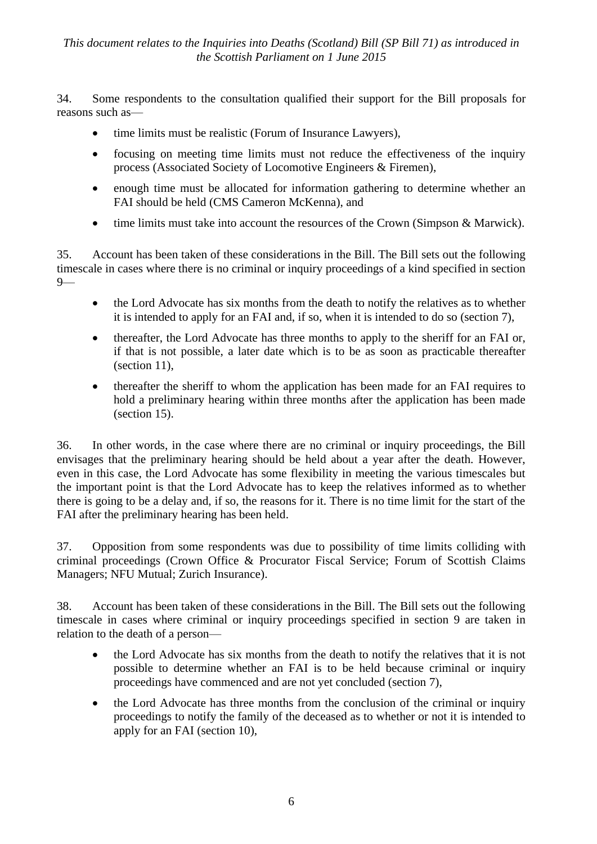34. Some respondents to the consultation qualified their support for the Bill proposals for reasons such as—

- time limits must be realistic (Forum of Insurance Lawyers).
- focusing on meeting time limits must not reduce the effectiveness of the inquiry process (Associated Society of Locomotive Engineers & Firemen),
- enough time must be allocated for information gathering to determine whether an FAI should be held (CMS Cameron McKenna), and
- time limits must take into account the resources of the Crown (Simpson & Marwick).

35. Account has been taken of these considerations in the Bill. The Bill sets out the following timescale in cases where there is no criminal or inquiry proceedings of a kind specified in section 9—

- the Lord Advocate has six months from the death to notify the relatives as to whether it is intended to apply for an FAI and, if so, when it is intended to do so (section 7),
- thereafter, the Lord Advocate has three months to apply to the sheriff for an FAI or, if that is not possible, a later date which is to be as soon as practicable thereafter (section 11),
- thereafter the sheriff to whom the application has been made for an FAI requires to hold a preliminary hearing within three months after the application has been made (section 15).

36. In other words, in the case where there are no criminal or inquiry proceedings, the Bill envisages that the preliminary hearing should be held about a year after the death. However, even in this case, the Lord Advocate has some flexibility in meeting the various timescales but the important point is that the Lord Advocate has to keep the relatives informed as to whether there is going to be a delay and, if so, the reasons for it. There is no time limit for the start of the FAI after the preliminary hearing has been held.

37. Opposition from some respondents was due to possibility of time limits colliding with criminal proceedings (Crown Office & Procurator Fiscal Service; Forum of Scottish Claims Managers; NFU Mutual; Zurich Insurance).

38. Account has been taken of these considerations in the Bill. The Bill sets out the following timescale in cases where criminal or inquiry proceedings specified in section 9 are taken in relation to the death of a person—

- the Lord Advocate has six months from the death to notify the relatives that it is not possible to determine whether an FAI is to be held because criminal or inquiry proceedings have commenced and are not yet concluded (section 7),
- the Lord Advocate has three months from the conclusion of the criminal or inquiry proceedings to notify the family of the deceased as to whether or not it is intended to apply for an FAI (section 10),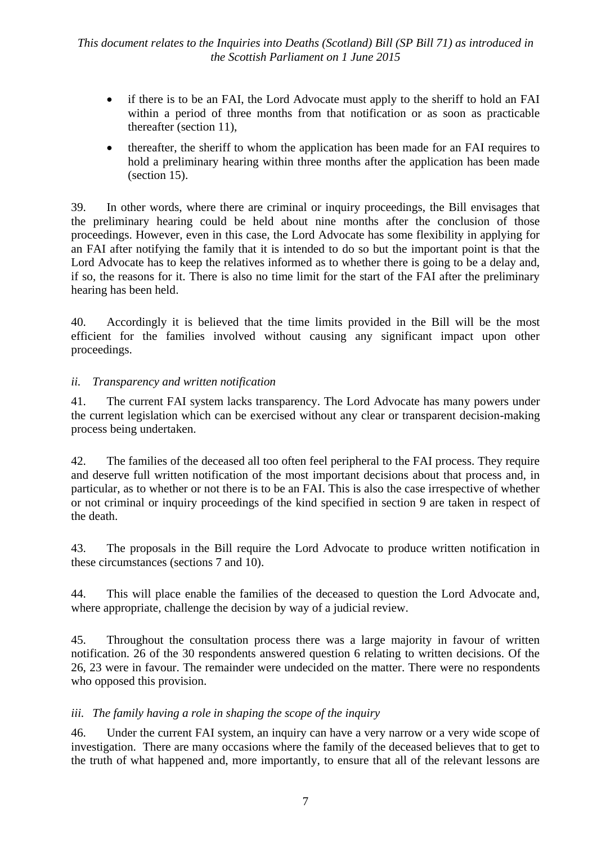- if there is to be an FAI, the Lord Advocate must apply to the sheriff to hold an FAI within a period of three months from that notification or as soon as practicable thereafter (section 11),
- thereafter, the sheriff to whom the application has been made for an FAI requires to hold a preliminary hearing within three months after the application has been made (section 15).

39. In other words, where there are criminal or inquiry proceedings, the Bill envisages that the preliminary hearing could be held about nine months after the conclusion of those proceedings. However, even in this case, the Lord Advocate has some flexibility in applying for an FAI after notifying the family that it is intended to do so but the important point is that the Lord Advocate has to keep the relatives informed as to whether there is going to be a delay and, if so, the reasons for it. There is also no time limit for the start of the FAI after the preliminary hearing has been held.

40. Accordingly it is believed that the time limits provided in the Bill will be the most efficient for the families involved without causing any significant impact upon other proceedings.

### *ii. Transparency and written notification*

41. The current FAI system lacks transparency. The Lord Advocate has many powers under the current legislation which can be exercised without any clear or transparent decision-making process being undertaken.

42. The families of the deceased all too often feel peripheral to the FAI process. They require and deserve full written notification of the most important decisions about that process and, in particular, as to whether or not there is to be an FAI. This is also the case irrespective of whether or not criminal or inquiry proceedings of the kind specified in section 9 are taken in respect of the death.

43. The proposals in the Bill require the Lord Advocate to produce written notification in these circumstances (sections 7 and 10).

44. This will place enable the families of the deceased to question the Lord Advocate and, where appropriate, challenge the decision by way of a judicial review.

45. Throughout the consultation process there was a large majority in favour of written notification. 26 of the 30 respondents answered question 6 relating to written decisions. Of the 26, 23 were in favour. The remainder were undecided on the matter. There were no respondents who opposed this provision.

#### *iii. The family having a role in shaping the scope of the inquiry*

46. Under the current FAI system, an inquiry can have a very narrow or a very wide scope of investigation. There are many occasions where the family of the deceased believes that to get to the truth of what happened and, more importantly, to ensure that all of the relevant lessons are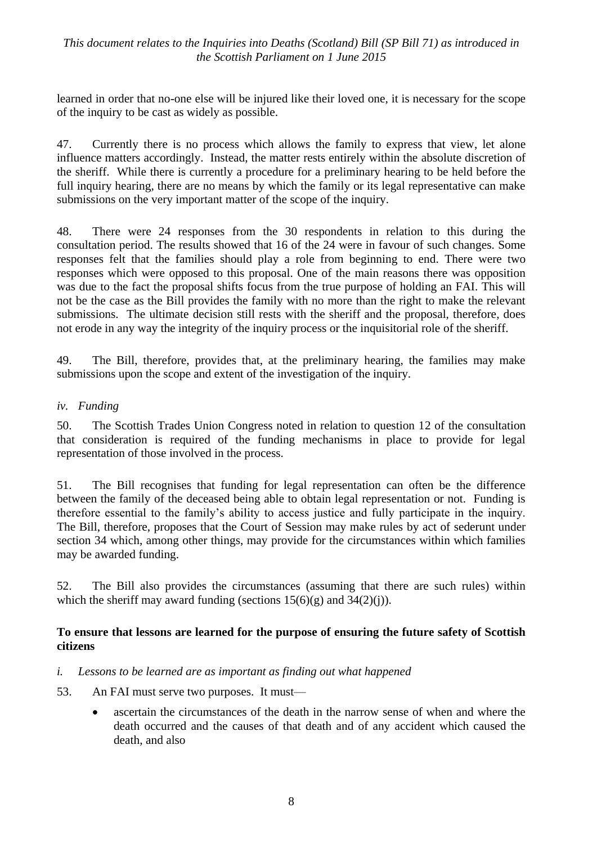learned in order that no-one else will be injured like their loved one, it is necessary for the scope of the inquiry to be cast as widely as possible.

47. Currently there is no process which allows the family to express that view, let alone influence matters accordingly. Instead, the matter rests entirely within the absolute discretion of the sheriff. While there is currently a procedure for a preliminary hearing to be held before the full inquiry hearing, there are no means by which the family or its legal representative can make submissions on the very important matter of the scope of the inquiry.

48. There were 24 responses from the 30 respondents in relation to this during the consultation period. The results showed that 16 of the 24 were in favour of such changes. Some responses felt that the families should play a role from beginning to end. There were two responses which were opposed to this proposal. One of the main reasons there was opposition was due to the fact the proposal shifts focus from the true purpose of holding an FAI. This will not be the case as the Bill provides the family with no more than the right to make the relevant submissions. The ultimate decision still rests with the sheriff and the proposal, therefore, does not erode in any way the integrity of the inquiry process or the inquisitorial role of the sheriff.

49. The Bill, therefore, provides that, at the preliminary hearing, the families may make submissions upon the scope and extent of the investigation of the inquiry.

#### *iv. Funding*

50. The Scottish Trades Union Congress noted in relation to question 12 of the consultation that consideration is required of the funding mechanisms in place to provide for legal representation of those involved in the process.

51. The Bill recognises that funding for legal representation can often be the difference between the family of the deceased being able to obtain legal representation or not. Funding is therefore essential to the family's ability to access justice and fully participate in the inquiry. The Bill, therefore, proposes that the Court of Session may make rules by act of sederunt under section 34 which, among other things, may provide for the circumstances within which families may be awarded funding.

52. The Bill also provides the circumstances (assuming that there are such rules) within which the sheriff may award funding (sections  $15(6)(g)$  and  $34(2)(i)$ ).

#### **To ensure that lessons are learned for the purpose of ensuring the future safety of Scottish citizens**

- *i. Lessons to be learned are as important as finding out what happened*
- 53. An FAI must serve two purposes. It must
	- ascertain the circumstances of the death in the narrow sense of when and where the death occurred and the causes of that death and of any accident which caused the death, and also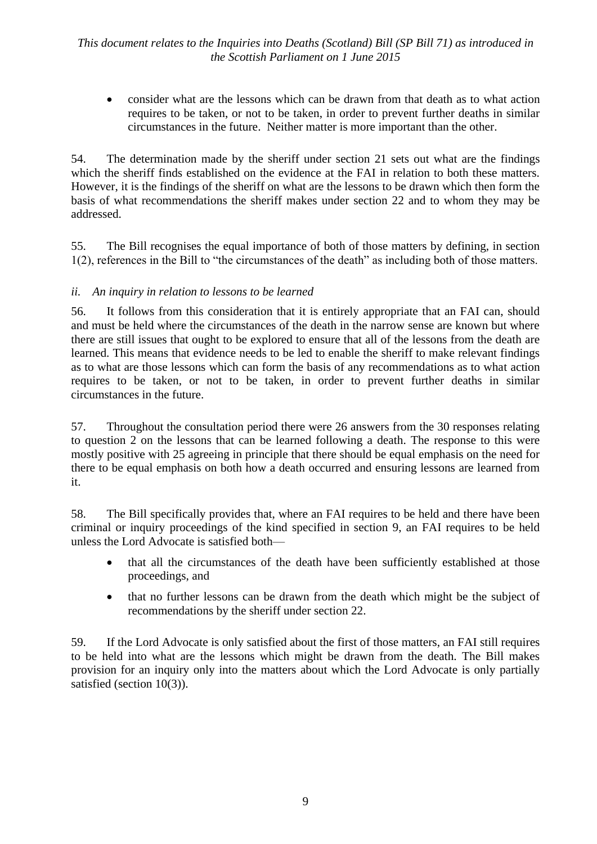consider what are the lessons which can be drawn from that death as to what action requires to be taken, or not to be taken, in order to prevent further deaths in similar circumstances in the future. Neither matter is more important than the other.

54. The determination made by the sheriff under section 21 sets out what are the findings which the sheriff finds established on the evidence at the FAI in relation to both these matters. However, it is the findings of the sheriff on what are the lessons to be drawn which then form the basis of what recommendations the sheriff makes under section 22 and to whom they may be addressed.

55. The Bill recognises the equal importance of both of those matters by defining, in section  $1(2)$ , references in the Bill to "the circumstances of the death" as including both of those matters.

#### *ii. An inquiry in relation to lessons to be learned*

56. It follows from this consideration that it is entirely appropriate that an FAI can, should and must be held where the circumstances of the death in the narrow sense are known but where there are still issues that ought to be explored to ensure that all of the lessons from the death are learned. This means that evidence needs to be led to enable the sheriff to make relevant findings as to what are those lessons which can form the basis of any recommendations as to what action requires to be taken, or not to be taken, in order to prevent further deaths in similar circumstances in the future.

57. Throughout the consultation period there were 26 answers from the 30 responses relating to question 2 on the lessons that can be learned following a death. The response to this were mostly positive with 25 agreeing in principle that there should be equal emphasis on the need for there to be equal emphasis on both how a death occurred and ensuring lessons are learned from it.

58. The Bill specifically provides that, where an FAI requires to be held and there have been criminal or inquiry proceedings of the kind specified in section 9, an FAI requires to be held unless the Lord Advocate is satisfied both—

- that all the circumstances of the death have been sufficiently established at those proceedings, and
- that no further lessons can be drawn from the death which might be the subject of recommendations by the sheriff under section 22.

59. If the Lord Advocate is only satisfied about the first of those matters, an FAI still requires to be held into what are the lessons which might be drawn from the death. The Bill makes provision for an inquiry only into the matters about which the Lord Advocate is only partially satisfied (section 10(3)).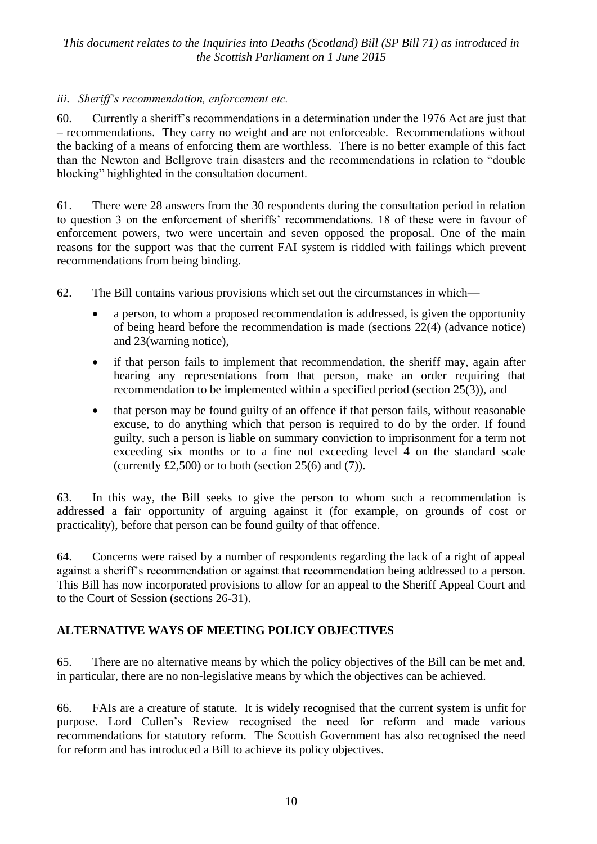#### *iii. Sheriff's recommendation, enforcement etc.*

60. Currently a sheriff's recommendations in a determination under the 1976 Act are just that – recommendations. They carry no weight and are not enforceable. Recommendations without the backing of a means of enforcing them are worthless. There is no better example of this fact than the Newton and Bellgrove train disasters and the recommendations in relation to "double" blocking" highlighted in the consultation document.

61. There were 28 answers from the 30 respondents during the consultation period in relation to question 3 on the enforcement of sheriffs' recommendations. 18 of these were in favour of enforcement powers, two were uncertain and seven opposed the proposal. One of the main reasons for the support was that the current FAI system is riddled with failings which prevent recommendations from being binding.

62. The Bill contains various provisions which set out the circumstances in which—

- a person, to whom a proposed recommendation is addressed, is given the opportunity of being heard before the recommendation is made (sections 22(4) (advance notice) and 23(warning notice),
- if that person fails to implement that recommendation, the sheriff may, again after hearing any representations from that person, make an order requiring that recommendation to be implemented within a specified period (section 25(3)), and
- that person may be found guilty of an offence if that person fails, without reasonable excuse, to do anything which that person is required to do by the order. If found guilty, such a person is liable on summary conviction to imprisonment for a term not exceeding six months or to a fine not exceeding level 4 on the standard scale (currently  $£2,500$ ) or to both (section 25(6) and (7)).

63. In this way, the Bill seeks to give the person to whom such a recommendation is addressed a fair opportunity of arguing against it (for example, on grounds of cost or practicality), before that person can be found guilty of that offence.

64. Concerns were raised by a number of respondents regarding the lack of a right of appeal against a sheriff's recommendation or against that recommendation being addressed to a person. This Bill has now incorporated provisions to allow for an appeal to the Sheriff Appeal Court and to the Court of Session (sections 26-31).

#### **ALTERNATIVE WAYS OF MEETING POLICY OBJECTIVES**

65. There are no alternative means by which the policy objectives of the Bill can be met and, in particular, there are no non-legislative means by which the objectives can be achieved.

66. FAIs are a creature of statute. It is widely recognised that the current system is unfit for purpose. Lord Cullen's Review recognised the need for reform and made various recommendations for statutory reform. The Scottish Government has also recognised the need for reform and has introduced a Bill to achieve its policy objectives.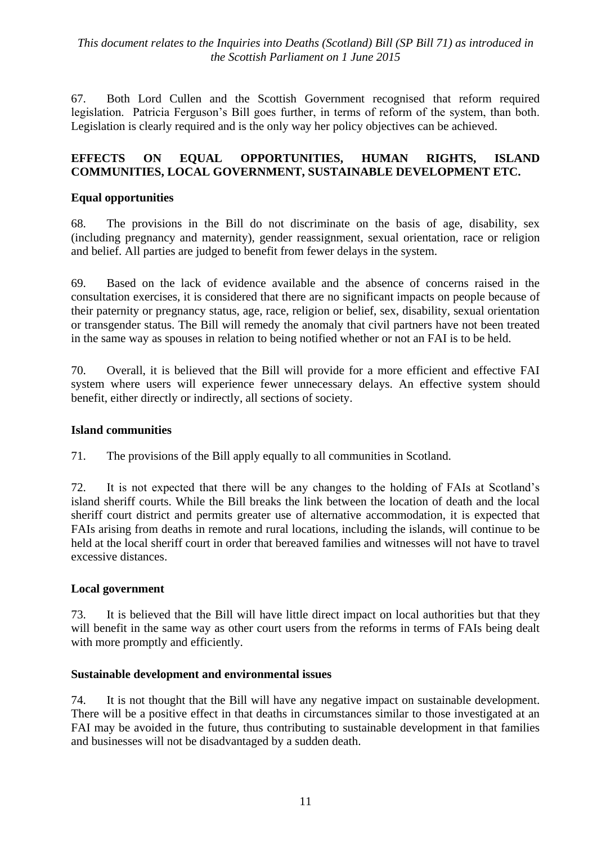67. Both Lord Cullen and the Scottish Government recognised that reform required legislation. Patricia Ferguson's Bill goes further, in terms of reform of the system, than both. Legislation is clearly required and is the only way her policy objectives can be achieved.

#### **EFFECTS ON EQUAL OPPORTUNITIES, HUMAN RIGHTS, ISLAND COMMUNITIES, LOCAL GOVERNMENT, SUSTAINABLE DEVELOPMENT ETC.**

#### **Equal opportunities**

68. The provisions in the Bill do not discriminate on the basis of age, disability, sex (including pregnancy and maternity), gender reassignment, sexual orientation, race or religion and belief. All parties are judged to benefit from fewer delays in the system.

69. Based on the lack of evidence available and the absence of concerns raised in the consultation exercises, it is considered that there are no significant impacts on people because of their paternity or pregnancy status, age, race, religion or belief, sex, disability, sexual orientation or transgender status. The Bill will remedy the anomaly that civil partners have not been treated in the same way as spouses in relation to being notified whether or not an FAI is to be held.

70. Overall, it is believed that the Bill will provide for a more efficient and effective FAI system where users will experience fewer unnecessary delays. An effective system should benefit, either directly or indirectly, all sections of society.

#### **Island communities**

71. The provisions of the Bill apply equally to all communities in Scotland.

72. It is not expected that there will be any changes to the holding of FAIs at Scotland's island sheriff courts. While the Bill breaks the link between the location of death and the local sheriff court district and permits greater use of alternative accommodation, it is expected that FAIs arising from deaths in remote and rural locations, including the islands, will continue to be held at the local sheriff court in order that bereaved families and witnesses will not have to travel excessive distances.

#### **Local government**

73. It is believed that the Bill will have little direct impact on local authorities but that they will benefit in the same way as other court users from the reforms in terms of FAIs being dealt with more promptly and efficiently.

#### **Sustainable development and environmental issues**

74. It is not thought that the Bill will have any negative impact on sustainable development. There will be a positive effect in that deaths in circumstances similar to those investigated at an FAI may be avoided in the future, thus contributing to sustainable development in that families and businesses will not be disadvantaged by a sudden death.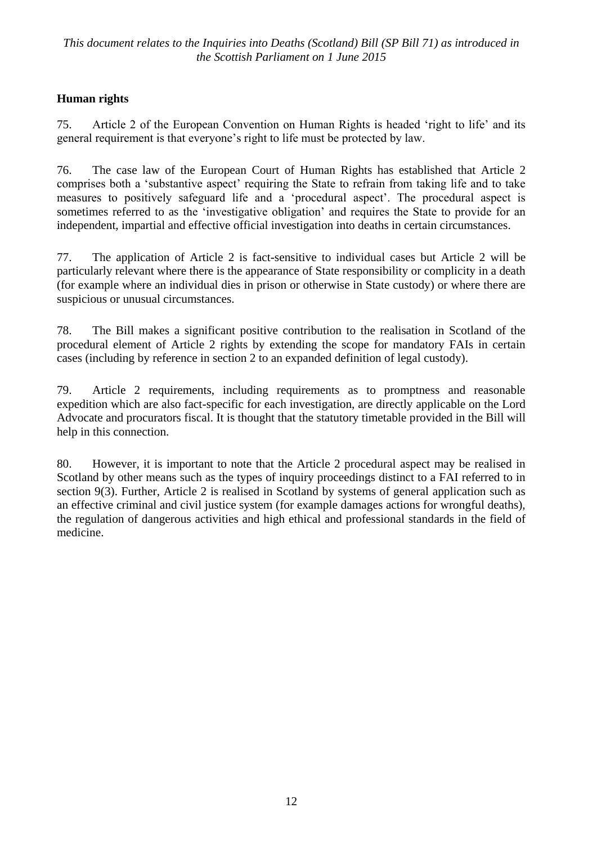# **Human rights**

75. Article 2 of the European Convention on Human Rights is headed 'right to life' and its general requirement is that everyone's right to life must be protected by law.

76. The case law of the European Court of Human Rights has established that Article 2 comprises both a 'substantive aspect' requiring the State to refrain from taking life and to take measures to positively safeguard life and a 'procedural aspect'. The procedural aspect is sometimes referred to as the 'investigative obligation' and requires the State to provide for an independent, impartial and effective official investigation into deaths in certain circumstances.

77. The application of Article 2 is fact-sensitive to individual cases but Article 2 will be particularly relevant where there is the appearance of State responsibility or complicity in a death (for example where an individual dies in prison or otherwise in State custody) or where there are suspicious or unusual circumstances.

78. The Bill makes a significant positive contribution to the realisation in Scotland of the procedural element of Article 2 rights by extending the scope for mandatory FAIs in certain cases (including by reference in section 2 to an expanded definition of legal custody).

79. Article 2 requirements, including requirements as to promptness and reasonable expedition which are also fact-specific for each investigation, are directly applicable on the Lord Advocate and procurators fiscal. It is thought that the statutory timetable provided in the Bill will help in this connection.

80. However, it is important to note that the Article 2 procedural aspect may be realised in Scotland by other means such as the types of inquiry proceedings distinct to a FAI referred to in section 9(3). Further, Article 2 is realised in Scotland by systems of general application such as an effective criminal and civil justice system (for example damages actions for wrongful deaths), the regulation of dangerous activities and high ethical and professional standards in the field of medicine.